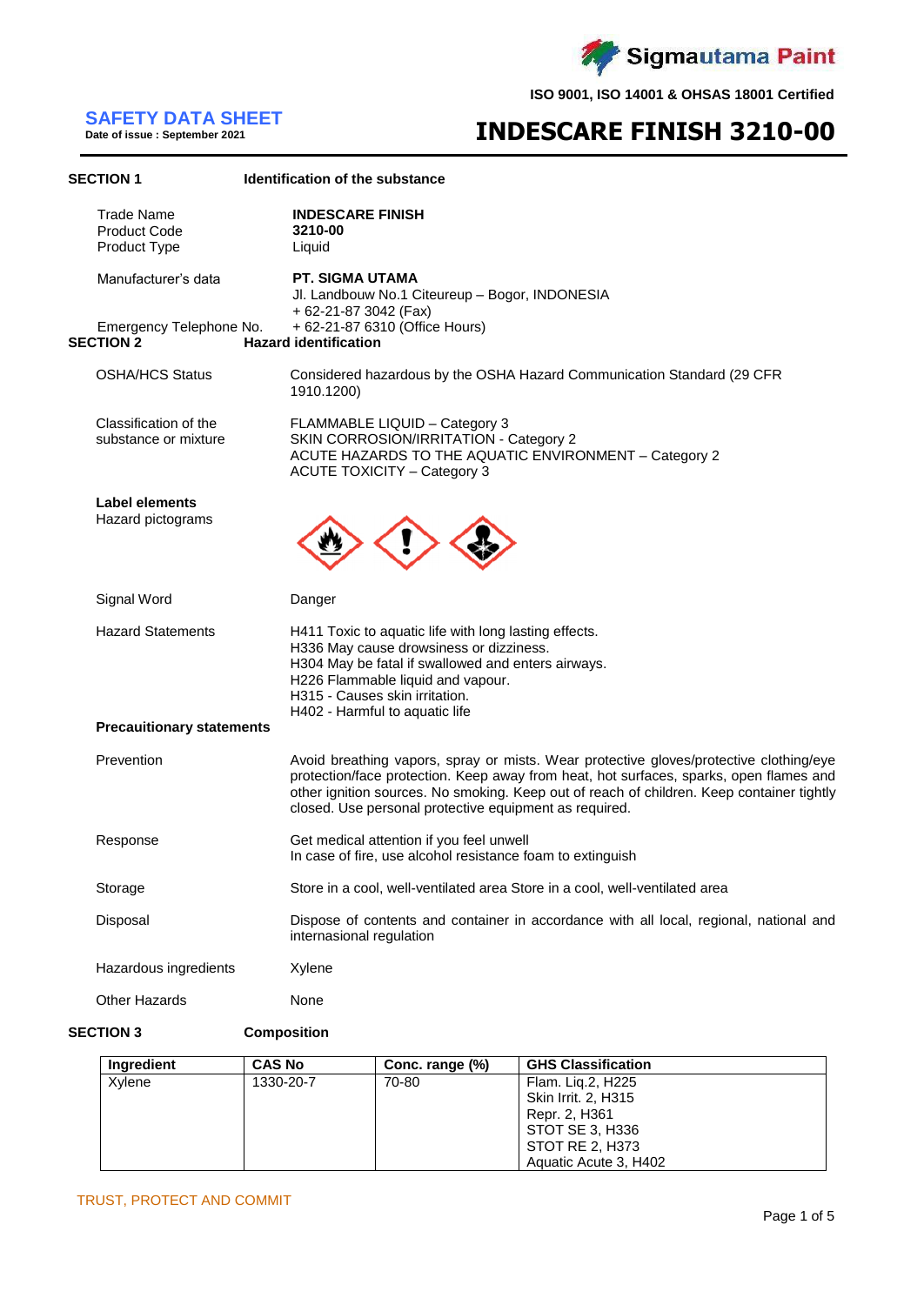

# **SAFETY DATA SHEET**

**Date of issue : September 2021**

# **INDESCARE FINISH 3210-00**

| <b>SECTION 1</b>                                         | Identification of the substance                                                                                                                                                                                                                                                                                                         |
|----------------------------------------------------------|-----------------------------------------------------------------------------------------------------------------------------------------------------------------------------------------------------------------------------------------------------------------------------------------------------------------------------------------|
| <b>Trade Name</b><br><b>Product Code</b><br>Product Type | <b>INDESCARE FINISH</b><br>3210-00<br>Liquid                                                                                                                                                                                                                                                                                            |
| Manufacturer's data                                      | PT. SIGMA UTAMA<br>Jl. Landbouw No.1 Citeureup - Bogor, INDONESIA<br>+ 62-21-87 3042 (Fax)                                                                                                                                                                                                                                              |
| Emergency Telephone No.<br><b>SECTION 2</b>              | + 62-21-87 6310 (Office Hours)<br><b>Hazard identification</b>                                                                                                                                                                                                                                                                          |
| <b>OSHA/HCS Status</b>                                   | Considered hazardous by the OSHA Hazard Communication Standard (29 CFR<br>1910.1200)                                                                                                                                                                                                                                                    |
| Classification of the<br>substance or mixture            | FLAMMABLE LIQUID - Category 3<br>SKIN CORROSION/IRRITATION - Category 2<br>ACUTE HAZARDS TO THE AQUATIC ENVIRONMENT - Category 2<br><b>ACUTE TOXICITY - Category 3</b>                                                                                                                                                                  |
| Label elements<br>Hazard pictograms                      |                                                                                                                                                                                                                                                                                                                                         |
| Signal Word                                              | Danger                                                                                                                                                                                                                                                                                                                                  |
| <b>Hazard Statements</b>                                 | H411 Toxic to aquatic life with long lasting effects.<br>H336 May cause drowsiness or dizziness.<br>H304 May be fatal if swallowed and enters airways.<br>H226 Flammable liquid and vapour.<br>H315 - Causes skin irritation.<br>H402 - Harmful to aquatic life                                                                         |
| <b>Precauitionary statements</b>                         |                                                                                                                                                                                                                                                                                                                                         |
| Prevention                                               | Avoid breathing vapors, spray or mists. Wear protective gloves/protective clothing/eye<br>protection/face protection. Keep away from heat, hot surfaces, sparks, open flames and<br>other ignition sources. No smoking. Keep out of reach of children. Keep container tightly<br>closed. Use personal protective equipment as required. |
| Response                                                 | Get medical attention if you feel unwell<br>In case of fire, use alcohol resistance foam to extinguish                                                                                                                                                                                                                                  |
| Storage                                                  | Store in a cool, well-ventilated area Store in a cool, well-ventilated area                                                                                                                                                                                                                                                             |
| Disposal                                                 | Dispose of contents and container in accordance with all local, regional, national and<br>internasional regulation                                                                                                                                                                                                                      |
| Hazardous ingredients                                    | Xylene                                                                                                                                                                                                                                                                                                                                  |
| <b>Other Hazards</b>                                     | None                                                                                                                                                                                                                                                                                                                                    |
| <b>SECTION 3</b>                                         | Composition                                                                                                                                                                                                                                                                                                                             |

| Ingredient | <b>CAS No</b> | Conc. range (%) | <b>GHS Classification</b> |
|------------|---------------|-----------------|---------------------------|
| Xylene     | 1330-20-7     | 70-80           | Flam. Lig.2, H225         |
|            |               |                 | Skin Irrit. 2, H315       |
|            |               |                 | Repr. 2, H361             |
|            |               |                 | STOT SE 3, H336           |
|            |               |                 | STOT RE 2, H373           |
|            |               |                 | Aquatic Acute 3, H402     |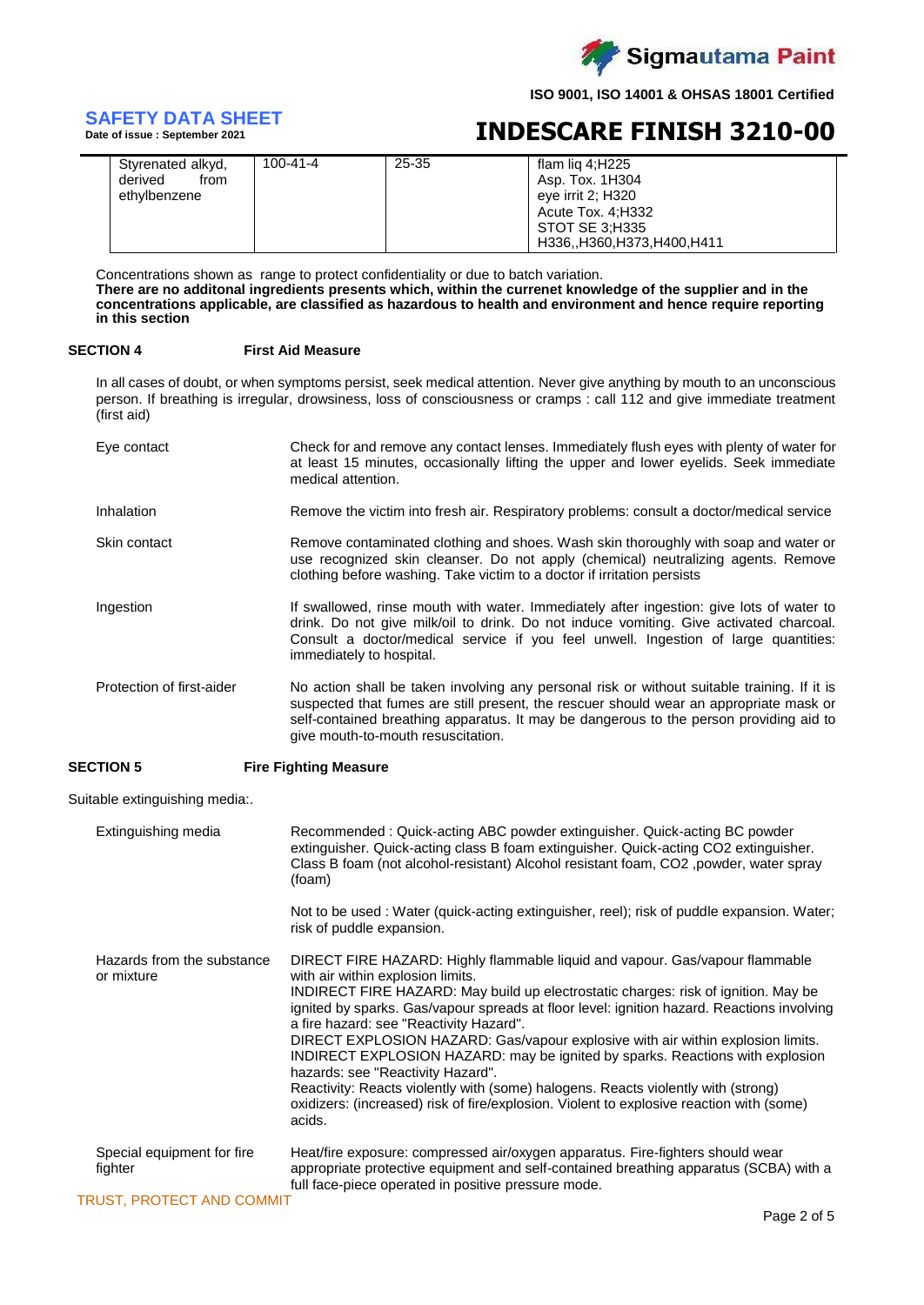

# **SAFETY DATA SHEET**

**Date of issue : September 2021**

# **INDESCARE FINISH 3210-00**

| Styrenated alkyd,<br>derived<br>from<br>ethylbenzene | $100 - 41 - 4$ | 25-35 | flam lig 4;H225<br>Asp. Tox. 1H304<br>eye irrit 2; H320<br>Acute Tox. 4;H332<br>STOT SE 3:H335<br>H336,,H360,H373,H400,H411 |
|------------------------------------------------------|----------------|-------|-----------------------------------------------------------------------------------------------------------------------------|
|------------------------------------------------------|----------------|-------|-----------------------------------------------------------------------------------------------------------------------------|

Concentrations shown as range to protect confidentiality or due to batch variation. **There are no additonal ingredients presents which, within the currenet knowledge of the supplier and in the concentrations applicable, are classified as hazardous to health and environment and hence require reporting in this section**

### **SECTION 4 First Aid Measure**

In all cases of doubt, or when symptoms persist, seek medical attention. Never give anything by mouth to an unconscious person. If breathing is irregular, drowsiness, loss of consciousness or cramps : call 112 and give immediate treatment (first aid)

| Eye contact               | Check for and remove any contact lenses. Immediately flush eyes with plenty of water for<br>at least 15 minutes, occasionally lifting the upper and lower eyelids. Seek immediate<br>medical attention.                                                                                                               |
|---------------------------|-----------------------------------------------------------------------------------------------------------------------------------------------------------------------------------------------------------------------------------------------------------------------------------------------------------------------|
| Inhalation                | Remove the victim into fresh air. Respiratory problems: consult a doctor/medical service                                                                                                                                                                                                                              |
| Skin contact              | Remove contaminated clothing and shoes. Wash skin thoroughly with soap and water or<br>use recognized skin cleanser. Do not apply (chemical) neutralizing agents. Remove<br>clothing before washing. Take victim to a doctor if irritation persists                                                                   |
| Ingestion                 | If swallowed, rinse mouth with water. Immediately after ingestion: give lots of water to<br>drink. Do not give milk/oil to drink. Do not induce vomiting. Give activated charcoal.<br>Consult a doctor/medical service if you feel unwell. Ingestion of large quantities:<br>immediately to hospital.                 |
| Protection of first-aider | No action shall be taken involving any personal risk or without suitable training. If it is<br>suspected that fumes are still present, the rescuer should wear an appropriate mask or<br>self-contained breathing apparatus. It may be dangerous to the person providing aid to<br>give mouth-to-mouth resuscitation. |

### **SECTION 5 Fire Fighting Measure**

Suitable extinguishing media:.

| Extinguishing media                      | Recommended: Quick-acting ABC powder extinguisher. Quick-acting BC powder<br>extinguisher. Quick-acting class B foam extinguisher. Quick-acting CO2 extinguisher.<br>Class B foam (not alcohol-resistant) Alcohol resistant foam, CO2, powder, water spray<br>(foam)                                                                                                                                                                                                                                                                                                                                                                                                                                                                                 |
|------------------------------------------|------------------------------------------------------------------------------------------------------------------------------------------------------------------------------------------------------------------------------------------------------------------------------------------------------------------------------------------------------------------------------------------------------------------------------------------------------------------------------------------------------------------------------------------------------------------------------------------------------------------------------------------------------------------------------------------------------------------------------------------------------|
|                                          | Not to be used: Water (quick-acting extinguisher, reel); risk of puddle expansion. Water;<br>risk of puddle expansion.                                                                                                                                                                                                                                                                                                                                                                                                                                                                                                                                                                                                                               |
| Hazards from the substance<br>or mixture | DIRECT FIRE HAZARD: Highly flammable liquid and vapour. Gas/vapour flammable<br>with air within explosion limits.<br>INDIRECT FIRE HAZARD: May build up electrostatic charges: risk of ignition. May be<br>ignited by sparks. Gas/vapour spreads at floor level: ignition hazard. Reactions involving<br>a fire hazard: see "Reactivity Hazard".<br>DIRECT EXPLOSION HAZARD: Gas/vapour explosive with air within explosion limits.<br>INDIRECT EXPLOSION HAZARD: may be ignited by sparks. Reactions with explosion<br>hazards: see "Reactivity Hazard".<br>Reactivity: Reacts violently with (some) halogens. Reacts violently with (strong)<br>oxidizers: (increased) risk of fire/explosion. Violent to explosive reaction with (some)<br>acids. |
| Special equipment for fire<br>fighter    | Heat/fire exposure: compressed air/oxygen apparatus. Fire-fighters should wear<br>appropriate protective equipment and self-contained breathing apparatus (SCBA) with a<br>full face-piece operated in positive pressure mode.                                                                                                                                                                                                                                                                                                                                                                                                                                                                                                                       |
| <b>TRUST, PROTECT AND COMMIT</b>         |                                                                                                                                                                                                                                                                                                                                                                                                                                                                                                                                                                                                                                                                                                                                                      |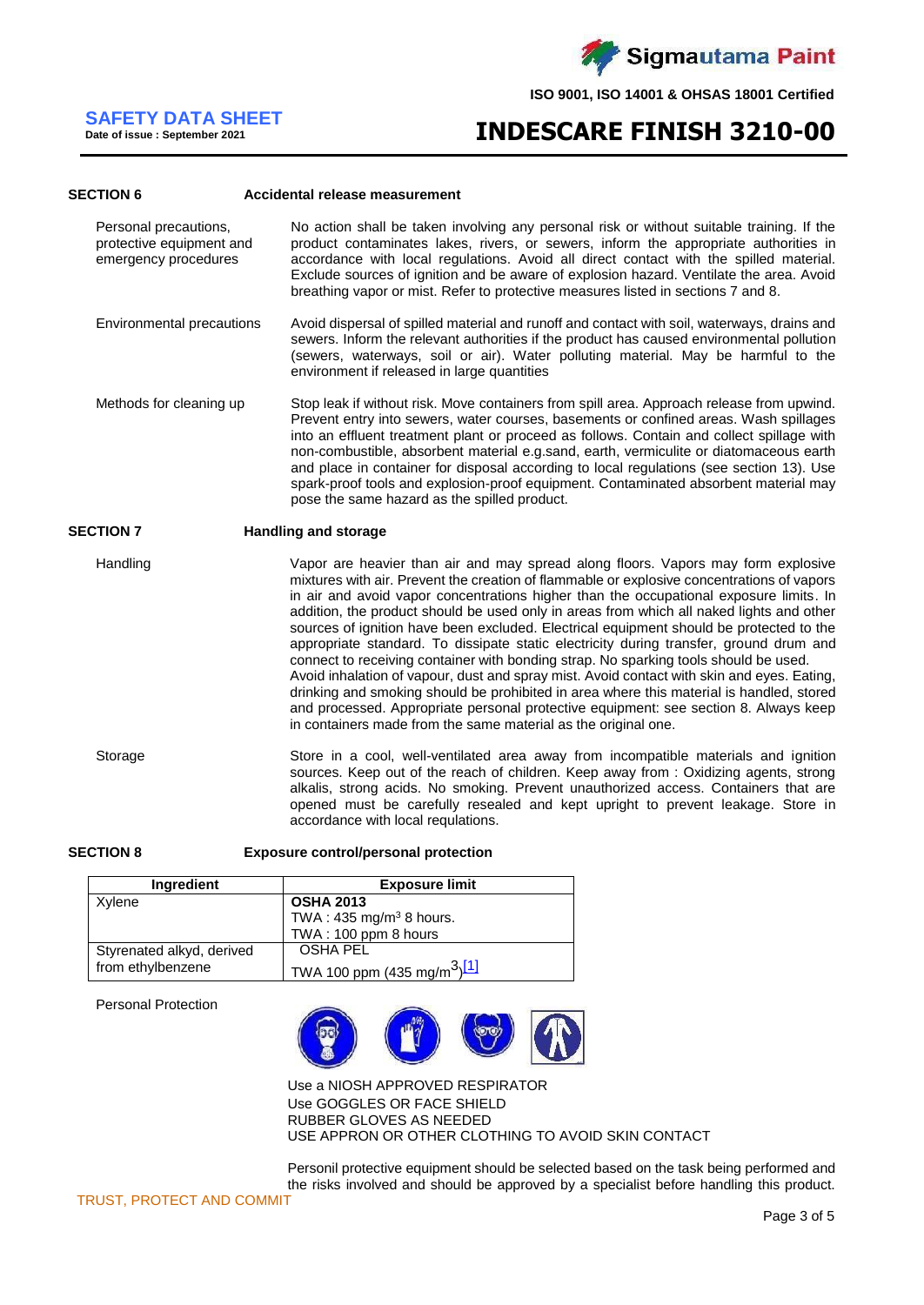

# **SAFETY DATA SHEET**

**Date of issue : September 2021**

# **INDESCARE FINISH 3210-00**

#### **SECTION 6 Accidental release measurement**

Personal precautions, protective equipment and emergency procedures No action shall be taken involving any personal risk or without suitable training. If the product contaminates lakes, rivers, or sewers, inform the appropriate authorities in accordance with local regulations. Avoid all direct contact with the spilled material. Exclude sources of ignition and be aware of explosion hazard. Ventilate the area. Avoid breathing vapor or mist. Refer to protective measures listed in sections 7 and 8.

Environmental precautions Avoid dispersal of spilled material and runoff and contact with soil, waterways, drains and sewers. Inform the relevant authorities if the product has caused environmental pollution (sewers, waterways, soil or air). Water polluting material. May be harmful to the environment if released in large quantities

Methods for cleaning up Stop leak if without risk. Move containers from spill area. Approach release from upwind. Prevent entry into sewers, water courses, basements or confined areas. Wash spillages into an effluent treatment plant or proceed as follows. Contain and collect spillage with non-combustible, absorbent material e.g.sand, earth, vermiculite or diatomaceous earth and place in container for disposal according to local regulations (see section 13). Use spark-proof tools and explosion-proof equipment. Contaminated absorbent material may pose the same hazard as the spilled product.

### **SECTION 7 Handling and storage**

Handling vapor are heavier than air and may spread along floors. Vapors may form explosive mixtures with air. Prevent the creation of flammable or explosive concentrations of vapors in air and avoid vapor concentrations higher than the occupational exposure limits. In addition, the product should be used only in areas from which all naked lights and other sources of ignition have been excluded. Electrical equipment should be protected to the appropriate standard. To dissipate static electricity during transfer, ground drum and connect to receiving container with bonding strap. No sparking tools should be used. Avoid inhalation of vapour, dust and spray mist. Avoid contact with skin and eyes. Eating, drinking and smoking should be prohibited in area where this material is handled, stored and processed. Appropriate personal protective equipment: see section 8. Always keep in containers made from the same material as the original one.

Storage Store in a cool, well-ventilated area away from incompatible materials and ignition sources. Keep out of the reach of children. Keep away from : Oxidizing agents, strong alkalis, strong acids. No smoking. Prevent unauthorized access. Containers that are opened must be carefully resealed and kept upright to prevent leakage. Store in accordance with local requlations.

**SECTION 8 Exposure control/personal protection**

| <b>Ingredient</b>         | <b>Exposure limit</b>                               |
|---------------------------|-----------------------------------------------------|
| Xylene                    | <b>OSHA 2013</b>                                    |
|                           | TWA: $435 \text{ mg/m}^3$ 8 hours.                  |
|                           | TWA: 100 ppm 8 hours                                |
| Styrenated alkyd, derived | OSHA PEL                                            |
| from ethylbenzene         | TWA 100 ppm (435 mg/m <sup>3</sup> ) <sup>[1]</sup> |

Personal Protection



Use a NIOSH APPROVED RESPIRATOR Use GOGGLES OR FACE SHIELD RUBBER GLOVES AS NEEDED USE APPRON OR OTHER CLOTHING TO AVOID SKIN CONTACT

Personil protective equipment should be selected based on the task being performed and the risks involved and should be approved by a specialist before handling this product.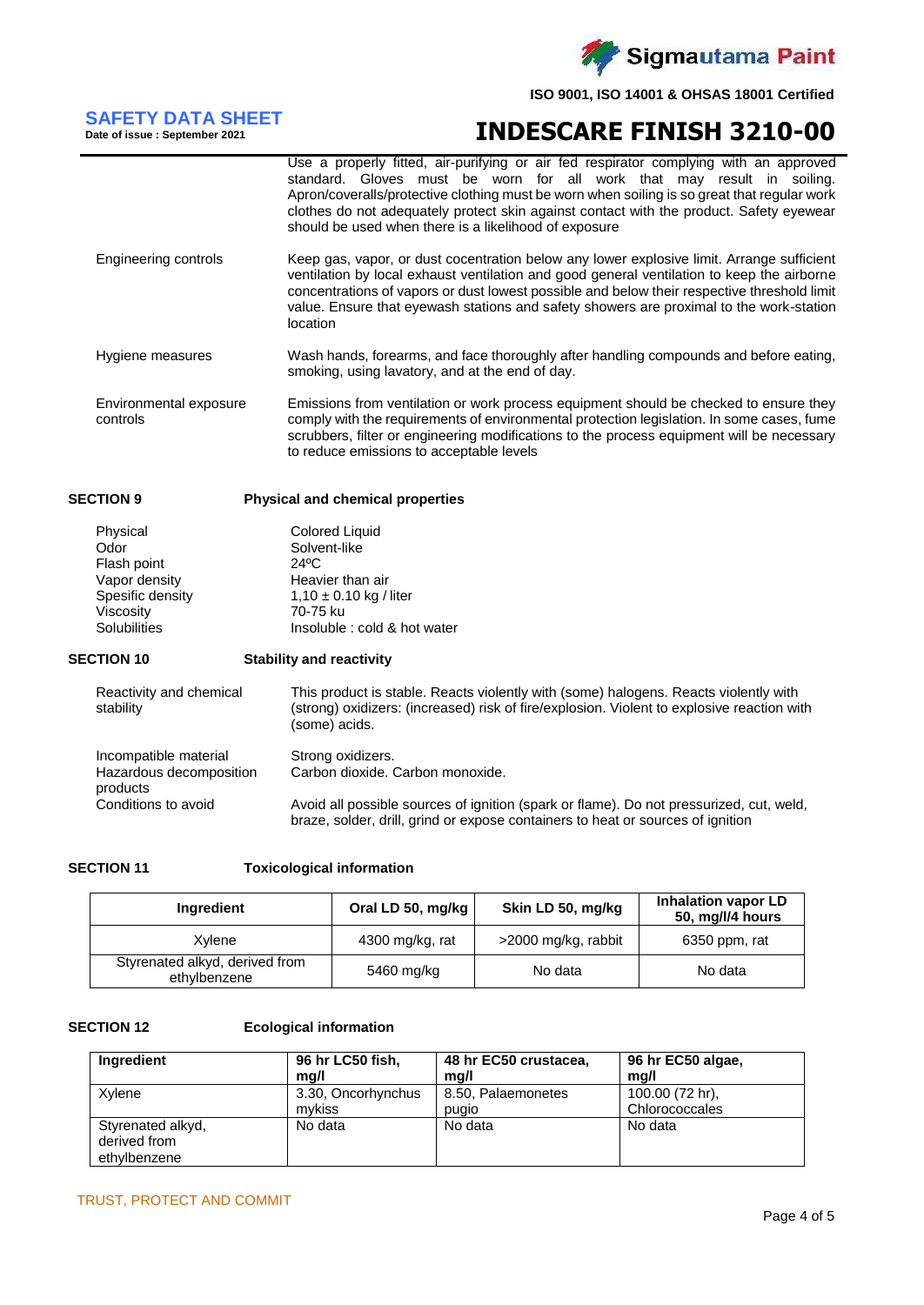

# **SAFETY DATA SHEET Date of issue : September 2021**

# **INDESCARE FINISH 3210-00**

|                                    | Use a properly fitted, air-purifying or air fed respirator complying with an approved<br>standard. Gloves must be worn for all work that may result in soiling.<br>Apron/coveralls/protective clothing must be worn when soiling is so great that regular work<br>clothes do not adequately protect skin against contact with the product. Safety eyewear<br>should be used when there is a likelihood of exposure |
|------------------------------------|--------------------------------------------------------------------------------------------------------------------------------------------------------------------------------------------------------------------------------------------------------------------------------------------------------------------------------------------------------------------------------------------------------------------|
| Engineering controls               | Keep gas, vapor, or dust cocentration below any lower explosive limit. Arrange sufficient<br>ventilation by local exhaust ventilation and good general ventilation to keep the airborne<br>concentrations of vapors or dust lowest possible and below their respective threshold limit<br>value. Ensure that eyewash stations and safety showers are proximal to the work-station<br>location                      |
| Hygiene measures                   | Wash hands, forearms, and face thoroughly after handling compounds and before eating,<br>smoking, using lavatory, and at the end of day.                                                                                                                                                                                                                                                                           |
| Environmental exposure<br>controls | Emissions from ventilation or work process equipment should be checked to ensure they<br>comply with the requirements of environmental protection legislation. In some cases, fume<br>scrubbers, filter or engineering modifications to the process equipment will be necessary<br>to reduce emissions to acceptable levels                                                                                        |

## **SECTION 9 Physical and chemical properties**

| Physical         | <b>Colored Liquid</b>        |
|------------------|------------------------------|
| Odor             | Solvent-like                 |
| Flash point      | 24°C                         |
| Vapor density    | Heavier than air             |
| Spesific density | $1,10 \pm 0.10$ kg / liter   |
| Viscosity        | 70-75 ku                     |
| Solubilities     | Insoluble : cold & hot water |

### **SECTION 10 Stability and reactivity**

| Reactivity and chemical<br>stability | This product is stable. Reacts violently with (some) halogens. Reacts violently with<br>(strong) oxidizers: (increased) risk of fire/explosion. Violent to explosive reaction with<br>(some) acids. |
|--------------------------------------|-----------------------------------------------------------------------------------------------------------------------------------------------------------------------------------------------------|
| Incompatible material                | Strong oxidizers.                                                                                                                                                                                   |
| Hazardous decomposition<br>products  | Carbon dioxide. Carbon monoxide.                                                                                                                                                                    |
| Conditions to avoid                  | Avoid all possible sources of ignition (spark or flame). Do not pressurized, cut, weld,<br>braze, solder, drill, grind or expose containers to heat or sources of ignition                          |

## **SECTION 11 Toxicological information**

| Ingredient                                     | Oral LD 50, mg/kg | Skin LD 50, mg/kg   | Inhalation vapor LD<br>50, mg/l/4 hours |
|------------------------------------------------|-------------------|---------------------|-----------------------------------------|
| Xvlene                                         | 4300 mg/kg, rat   | >2000 mg/kg, rabbit | 6350 ppm, rat                           |
| Styrenated alkyd, derived from<br>ethylbenzene | 5460 mg/kg        | No data             | No data                                 |

### **SECTION 12 Ecological information**

| Ingredient                                        | 96 hr LC50 fish,   | 48 hr EC50 crustacea, | 96 hr EC50 algae, |
|---------------------------------------------------|--------------------|-----------------------|-------------------|
|                                                   | mq/l               | mq/l                  | mg/l              |
| Xvlene                                            | 3.30, Oncorhynchus | 8.50, Palaemonetes    | 100.00 (72 hr),   |
|                                                   | mvkiss             | pugio                 | Chlorococcales    |
| Styrenated alkyd,<br>derived from<br>ethylbenzene | No data            | No data               | No data           |